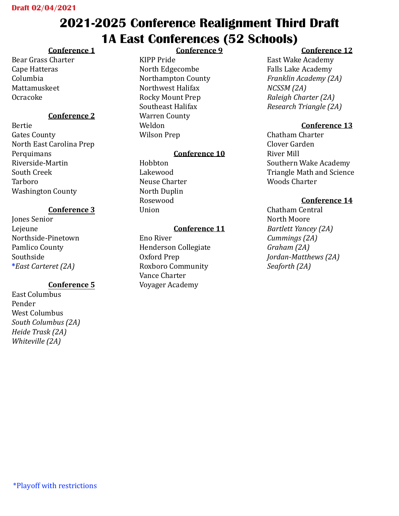## **2021-2025 Conference Realignment Third Draft 1A East Conferences (52 Schools)**

### **Conference 1**

Bear Grass Charter Cape Hatteras Columbia Mattamuskeet Ocracoke

### **Conference 2**

Bertie Gates County North East Carolina Prep Perquimans Riverside-Martin South Creek Tarboro Washington County

### **Conference 3**

Jones Senior Lejeune Northside-Pinetown Pamlico County Southside **\****East Carteret (2A)*

### **Conference 5**

East Columbus Pender West Columbus *South Columbus (2A) Heide Trask (2A) Whiteville (2A)* 

### **Conference 9**

KIPP Pride North Edgecombe Northampton County Northwest Halifax Rocky Mount Prep Southeast Halifax Warren County Weldon Wilson Prep

### **Conference 10**

Hobbton Lakewood Neuse Charter North Duplin Rosewood Union

#### **Conference 11**

Eno River Henderson Collegiate Oxford Prep Roxboro Community Vance Charter Voyager Academy

### **Conference 12**

East Wake Academy Falls Lake Academy *Franklin Academy (2A) NCSSM (2A) Raleigh Charter (2A) Research Triangle (2A)* 

### **Conference 13**

Chatham Charter Clover Garden River Mill Southern Wake Academy Triangle Math and Science Woods Charter

### **Conference 14**

Chatham Central North Moore *Bartlett Yancey (2A) Cummings (2A) Graham (2A) Jordan-Matthews (2A) Seaforth (2A)*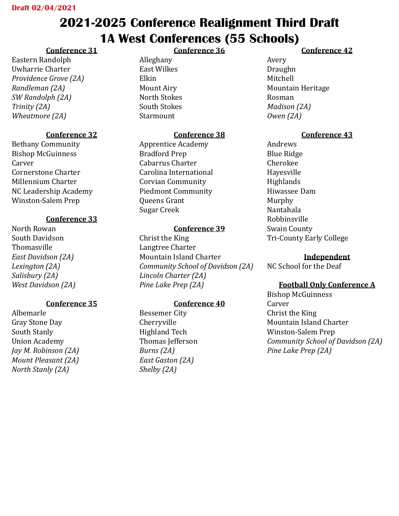# **2021-2025 Conference Realignment Third Draft 1A West Conferences (55 Schools)**

**Conference 36**

### **Conference 31**

Eastern Randolph Uwharrie Charter *Providence Grove (2A) Randleman (2A) SW Randolph (2A) Trinity (2A) Wheatmore (2A)*

### **Conference 32**

Bethany Community Bishop McGuinness **Carver** Cornerstone Charter Millennium Charter NC Leadership Academy Winston-Salem Prep

### **Conference 33**

North Rowan South Davidson Thomasville *East Davidson (2A) Lexington (2A) Salisbury (2A) West Davidson (2A)*

### **Conference 35**

Albemarle Gray Stone Day South Stanly Union Academy *Jay M. Robinson (2A) Mount Pleasant (2A) North Stanly (2A)*

Alleghany East Wilkes Elkin Mount Airy North Stokes South Stokes Starmount

### **Conference 38**

Apprentice Academy Bradford Prep Cabarrus Charter Carolina International Corvian Community Piedmont Community Queens Grant Sugar Creek

#### **Conference 39**

Christ the King Langtree Charter Mountain Island Charter *Community School of Davidson (2A) Lincoln Charter (2A) Pine Lake Prep (2A)*

### **Conference 40**

Bessemer City Cherryville Highland Tech Thomas Jefferson *Burns (2A) East Gaston (2A) Shelby (2A)*

### **Conference 42**

Avery Draughn Mitchell Mountain Heritage Rosman *Madison (2A) Owen (2A)*

### **Conference 43**

Andrews Blue Ridge Cherokee Hayesville **Highlands** Hiwassee Dam Murphy Nantahala Robbinsville Swain County Tri-County Early College

#### **Independent**

NC School for the Deaf

### **Football Only Conference A**

Bishop McGuinness Carver Christ the King Mountain Island Charter Winston-Salem Prep *Community School of Davidson (2A) Pine Lake Prep (2A)*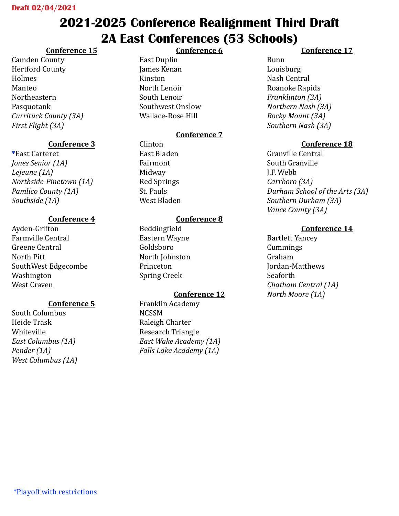# **2021-2025 Conference Realignment Third Draft 2A East Conferences (53 Schools)**

**Conference 6**

### **Conference 15**

Camden County Hertford County Holmes Manteo Northeastern Pasquotank *Currituck County (3A) First Flight (3A)*

### **Conference 3**

**\***East Carteret *Jones Senior (1A) Lejeune (1A) Northside-Pinetown (1A) Pamlico County (1A) Southside (1A)*

### **Conference 4**

Ayden-Grifton Farmville Central Greene Central North Pitt SouthWest Edgecombe Washington West Craven

### **Conference 5**

South Columbus Heide Trask Whiteville *East Columbus (1A) Pender (1A) West Columbus (1A)*

### East Duplin James Kenan Kinston North Lenoir South Lenoir Southwest Onslow Wallace-Rose Hill

### **Conference 7**

Clinton East Bladen Fairmont Midway Red Springs St. Pauls West Bladen

### **Conference 8**

Beddingfield Eastern Wayne Goldsboro North Johnston Princeton Spring Creek

### **Conference 12**

Franklin Academy NCSSM Raleigh Charter Research Triangle *East Wake Academy (1A) Falls Lake Academy (1A)*

### **Conference 17**

Bunn Louisburg Nash Central Roanoke Rapids *Franklinton (3A) Northern Nash (3A) Rocky Mount (3A) Southern Nash (3A)*

### **Conference 18**

Granville Central South Granville J.F. Webb *Carrboro (3A) Durham School of the Arts (3A) Southern Durham (3A) Vance County (3A)*

### **Conference 14**

Bartlett Yancey Cummings Graham Jordan-Matthews Seaforth *Chatham Central (1A) North Moore (1A)*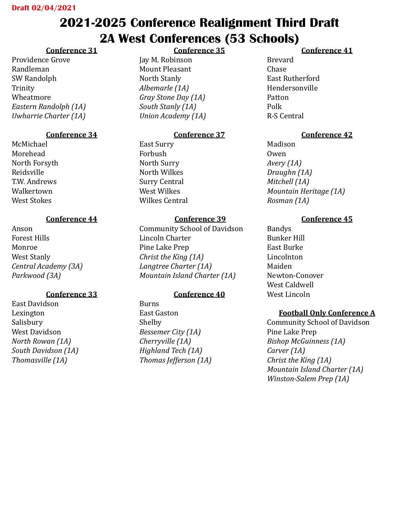## **2021-2025 Conference Realignment Third Draft 2A West Conferences (53 Schools) Conference 35**

## **Conference 31**

Providence Grove Randleman SW Randolph Trinity Wheatmore *Eastern Randolph (1A) Uwharrie Charter (1A)*

## **Conference 34**

McMichael Morehead North Forsyth Reidsville T.W. Andrews Walkertown West Stokes

## **Conference 44**

Anson Forest Hills Monroe West Stanly *Central Academy (3A) Parkwood (3A)*

## **Conference 33**

East Davidson Lexington Salisbury West Davidson *North Rowan (1A) South Davidson (1A) Thomasville (1A)*

Jay M. Robinson Mount Pleasant North Stanly *Albemarle (1A) Gray Stone Day (1A) South Stanly (1A) Union Academy (1A)*

## **Conference 37**

East Surry Forbush North Surry North Wilkes Surry Central West Wilkes Wilkes Central

## **Conference 39**

Community School of Davidson Lincoln Charter Pine Lake Prep *Christ the King (1A) Langtree Charter (1A) Mountain Island Charter (1A)*

## **Conference 40**

Burns East Gaston Shelby *Bessemer City (1A) Cherryville (1A) Highland Tech (1A) Thomas Jefferson (1A)*

## **Conference 41**

Brevard Chase East Rutherford Hendersonville Patton Polk R-S Central

## **Conference 42**

Madison Owen *Avery (1A) Draughn (1A) Mitchell (1A) Mountain Heritage (1A) Rosman (1A)*

## **Conference 45**

Bandys Bunker Hill East Burke Lincolnton Maiden Newton-Conover West Caldwell West Lincoln

## **Football Only Conference A**

Community School of Davidson Pine Lake Prep *Bishop McGuinness (1A) Carver (1A) Christ the King (1A) Mountain Island Charter (1A) Winston-Salem Prep (1A)*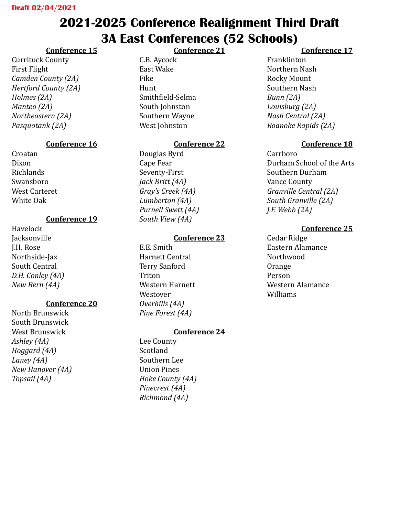## **2021-2025 Conference Realignment Third Draft 3A East Conferences (52 Schools)**

**Conference 21**

### **Conference 15**

Currituck County First Flight *Camden County (2A) Hertford County (2A) Holmes (2A) Manteo (2A) Northeastern (2A) Pasquotank (2A)*

### **Conference 16**

Croatan Dixon Richlands Swansboro West Carteret White Oak

### **Conference 19**

Havelock **Jacksonville** J.H. Rose Northside-Jax South Central *D.H. Conley (4A) New Bern (4A)*

### **Conference 20**

North Brunswick South Brunswick West Brunswick *Ashley (4A) Hoggard (4A) Laney (4A) New Hanover (4A) Topsail (4A)*

C.B. Aycock East Wake Fike Hunt Smithfield-Selma South Johnston Southern Wayne West Johnston

### **Conference 22**

Douglas Byrd Cape Fear Seventy-First *Jack Britt (4A) Gray's Creek (4A) Lumberton (4A) Purnell Swett (4A) South View (4A)*

### **Conference 23**

E.E. Smith Harnett Central Terry Sanford Triton Western Harnett Westover *Overhills (4A) Pine Forest (4A)*

### **Conference 24**

Lee County Scotland Southern Lee Union Pines *Hoke County (4A) Pinecrest (4A) Richmond (4A)*

### **Conference 17**

Franklinton Northern Nash Rocky Mount Southern Nash *Bunn (2A) Louisburg (2A) Nash Central (2A) Roanoke Rapids (2A)*

### **Conference 18**

Carrboro Durham School of the Arts Southern Durham Vance County *Granville Central (2A) South Granville (2A) J.F. Webb (2A)*

### **Conference 25**

Cedar Ridge Eastern Alamance Northwood Orange Person Western Alamance Williams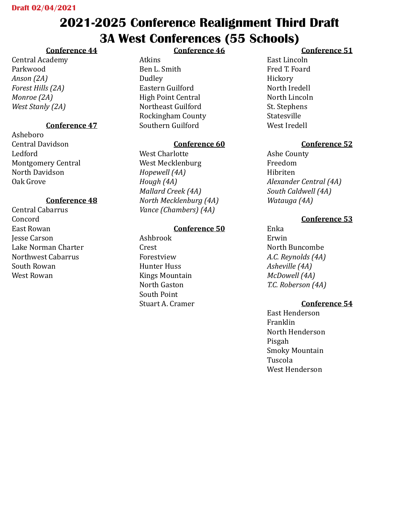# **2021-2025 Conference Realignment Third Draft 3A West Conferences (55 Schools)**

## **Conference 44**

Central Academy Parkwood *Anson (2A) Forest Hills (2A) Monroe (2A) West Stanly (2A)*

### **Conference 47**

Asheboro Central Davidson Ledford Montgomery Central North Davidson Oak Grove

### **Conference 48**

Central Cabarrus Concord East Rowan Jesse Carson Lake Norman Charter Northwest Cabarrus South Rowan West Rowan

### **Conference 46**

Atkins Ben L. Smith Dudley Eastern Guilford High Point Central Northeast Guilford Rockingham County Southern Guilford

### **Conference 60**

West Charlotte West Mecklenburg *Hopewell (4A) Hough (4A) Mallard Creek (4A) North Mecklenburg (4A) Vance (Chambers) (4A)*

### **Conference 50**

Ashbrook Crest Forestview Hunter Huss Kings Mountain North Gaston South Point Stuart A. Cramer

### **Conference 51**

East Lincoln Fred T. Foard Hickory North Iredell North Lincoln St. Stephens Statesville West Iredell

### **Conference 52**

Ashe County Freedom Hibriten *Alexander Central (4A) South Caldwell (4A) Watauga (4A)*

### **Conference 53**

Enka Erwin North Buncombe *A.C. Reynolds (4A) Asheville (4A) McDowell (4A) T.C. Roberson (4A)*

### **Conference 54**

East Henderson Franklin North Henderson Pisgah Smoky Mountain Tuscola West Henderson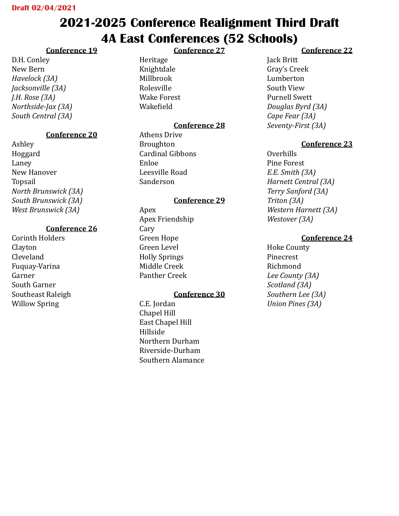# **2021-2025 Conference Realignment Third Draft 4A East Conferences (52 Schools)**

**Conference 27**

### **Conference 19**

D.H. Conley New Bern *Havelock (3A) Jacksonville (3A) J.H. Rose (3A) Northside-Jax (3A) South Central (3A)*

### **Conference 20**

Ashley Hoggard Laney New Hanover Topsail *North Brunswick (3A) South Brunswick (3A) West Brunswick (3A)*

### **Conference 26**

Corinth Holders Clayton Cleveland Fuquay-Varina Garner South Garner Southeast Raleigh Willow Spring

Heritage Knightdale Millbrook Rolesville Wake Forest Wakefield

### **Conference 28**

Athens Drive Broughton Cardinal Gibbons Enloe Leesville Road Sanderson

### **Conference 29**

Apex Apex Friendship Cary Green Hope Green Level Holly Springs Middle Creek Panther Creek

### **Conference 30**

C.E. Jordan Chapel Hill East Chapel Hill Hillside Northern Durham Riverside-Durham Southern Alamance

### **Conference 22**

Jack Britt Gray's Creek Lumberton South View Purnell Swett *Douglas Byrd (3A) Cape Fear (3A) Seventy-First (3A)*

### **Conference 23**

Overhills Pine Forest *E.E. Smith (3A) Harnett Central (3A) Terry Sanford (3A) Triton (3A) Western Harnett (3A) Westover (3A)*

### **Conference 24**

Hoke County Pinecrest Richmond *Lee County (3A) Scotland (3A) Southern Lee (3A) Union Pines (3A)*